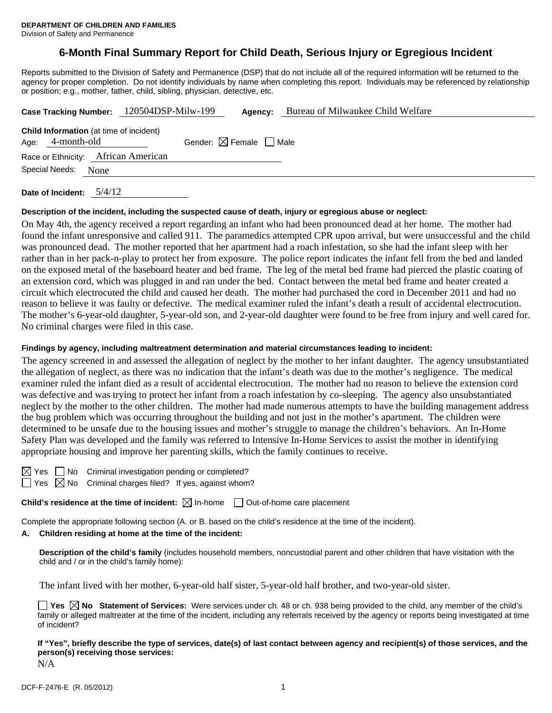# **6-Month Final Summary Report for Child Death, Serious Injury or Egregious Incident**

Reports submitted to the Division of Safety and Permanence (DSP) that do not include all of the required information will be returned to the agency for proper completion. Do not identify individuals by name when completing this report. Individuals may be referenced by relationship or position; e.g., mother, father, child, sibling, physician, detective, etc.

|                                                                    |      | Case Tracking Number: 120504DSP-Milw-199 | Agency:                                | Bureau of Milwaukee Child Welfare |
|--------------------------------------------------------------------|------|------------------------------------------|----------------------------------------|-----------------------------------|
| <b>Child Information</b> (at time of incident)<br>Age: 4-month-old |      |                                          | Gender: $\boxtimes$ Female $\Box$ Male |                                   |
|                                                                    |      | Race or Ethnicity: African American      |                                        |                                   |
| Special Needs:                                                     | None |                                          |                                        |                                   |
|                                                                    |      |                                          |                                        |                                   |

**Date of Incident:** 5/4/12

#### **Description of the incident, including the suspected cause of death, injury or egregious abuse or neglect:**

On May 4th, the agency received a report regarding an infant who had been pronounced dead at her home. The mother had found the infant unresponsive and called 911. The paramedics attempted CPR upon arrival, but were unsuccessful and the child was pronounced dead. The mother reported that her apartment had a roach infestation, so she had the infant sleep with her rather than in her pack-n-play to protect her from exposure. The police report indicates the infant fell from the bed and landed on the exposed metal of the baseboard heater and bed frame. The leg of the metal bed frame had pierced the plastic coating of an extension cord, which was plugged in and ran under the bed. Contact between the metal bed frame and heater created a circuit which electrocuted the child and caused her death. The mother had purchased the cord in December 2011 and had no reason to believe it was faulty or defective. The medical examiner ruled the infant's death a result of accidental electrocution. The mother's 6-year-old daughter, 5-year-old son, and 2-year-old daughter were found to be free from injury and well cared for. No criminal charges were filed in this case.

#### **Findings by agency, including maltreatment determination and material circumstances leading to incident:**

The agency screened in and assessed the allegation of neglect by the mother to her infant daughter. The agency unsubstantiated the allegation of neglect, as there was no indication that the infant's death was due to the mother's negligence. The medical examiner ruled the infant died as a result of accidental electrocution. The mother had no reason to believe the extension cord was defective and was trying to protect her infant from a roach infestation by co-sleeping. The agency also unsubstantiated neglect by the mother to the other children. The mother had made numerous attempts to have the building management address the bug problem which was occurring throughout the building and not just in the mother's apartment. The children were determined to be unsafe due to the housing issues and mother's struggle to manage the children's behaviors. An In-Home Safety Plan was developed and the family was referred to Intensive In-Home Services to assist the mother in identifying appropriate housing and improve her parenting skills, which the family continues to receive.

 $\Box$  No Criminal investigation pending or completed?  $\Box$  Yes  $\boxtimes$  No Criminal charges filed? If yes, against whom?

**Child's residence at the time of incident:**  $\boxtimes$  In-home  $\Box$  Out-of-home care placement

Complete the appropriate following section (A. or B. based on the child's residence at the time of the incident).

### **A. Children residing at home at the time of the incident:**

**Description of the child's family** (includes household members, noncustodial parent and other children that have visitation with the child and / or in the child's family home):

The infant lived with her mother, 6-year-old half sister, 5-year-old half brother, and two-year-old sister.

**Yes No Statement of Services:** Were services under ch. 48 or ch. 938 being provided to the child, any member of the child's family or alleged maltreater at the time of the incident, including any referrals received by the agency or reports being investigated at time of incident?

**If "Yes", briefly describe the type of services, date(s) of last contact between agency and recipient(s) of those services, and the person(s) receiving those services:** 

N/A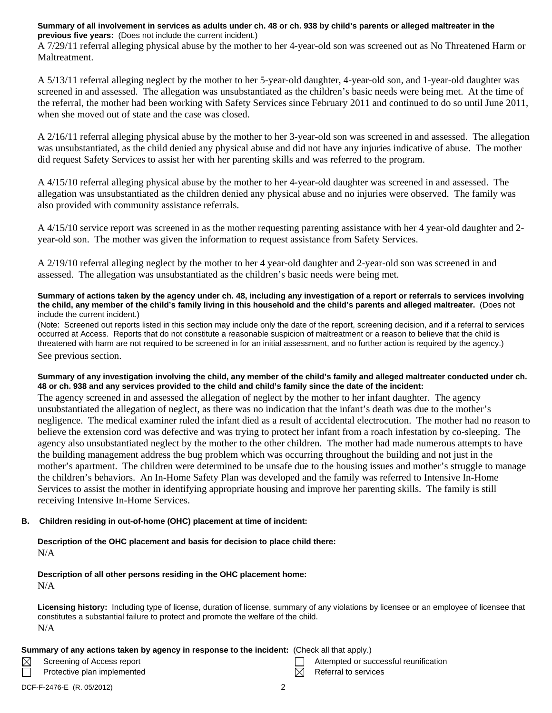### **Summary of all involvement in services as adults under ch. 48 or ch. 938 by child's parents or alleged maltreater in the previous five years:** (Does not include the current incident.)

A 7/29/11 referral alleging physical abuse by the mother to her 4-year-old son was screened out as No Threatened Harm or Maltreatment.

A 5/13/11 referral alleging neglect by the mother to her 5-year-old daughter, 4-year-old son, and 1-year-old daughter was screened in and assessed. The allegation was unsubstantiated as the children's basic needs were being met. At the time of the referral, the mother had been working with Safety Services since February 2011 and continued to do so until June 2011, when she moved out of state and the case was closed.

A 2/16/11 referral alleging physical abuse by the mother to her 3-year-old son was screened in and assessed. The allegation was unsubstantiated, as the child denied any physical abuse and did not have any injuries indicative of abuse. The mother did request Safety Services to assist her with her parenting skills and was referred to the program.

A 4/15/10 referral alleging physical abuse by the mother to her 4-year-old daughter was screened in and assessed. The allegation was unsubstantiated as the children denied any physical abuse and no injuries were observed. The family was also provided with community assistance referrals.

A 4/15/10 service report was screened in as the mother requesting parenting assistance with her 4 year-old daughter and 2 year-old son. The mother was given the information to request assistance from Safety Services.

A 2/19/10 referral alleging neglect by the mother to her 4 year-old daughter and 2-year-old son was screened in and assessed. The allegation was unsubstantiated as the children's basic needs were being met.

#### **Summary of actions taken by the agency under ch. 48, including any investigation of a report or referrals to services involving the child, any member of the child's family living in this household and the child's parents and alleged maltreater.** (Does not include the current incident.)

(Note: Screened out reports listed in this section may include only the date of the report, screening decision, and if a referral to services occurred at Access. Reports that do not constitute a reasonable suspicion of maltreatment or a reason to believe that the child is threatened with harm are not required to be screened in for an initial assessment, and no further action is required by the agency.) See previous section.

## **Summary of any investigation involving the child, any member of the child's family and alleged maltreater conducted under ch. 48 or ch. 938 and any services provided to the child and child's family since the date of the incident:**

The agency screened in and assessed the allegation of neglect by the mother to her infant daughter. The agency unsubstantiated the allegation of neglect, as there was no indication that the infant's death was due to the mother's negligence. The medical examiner ruled the infant died as a result of accidental electrocution. The mother had no reason to believe the extension cord was defective and was trying to protect her infant from a roach infestation by co-sleeping. The agency also unsubstantiated neglect by the mother to the other children. The mother had made numerous attempts to have the building management address the bug problem which was occurring throughout the building and not just in the mother's apartment. The children were determined to be unsafe due to the housing issues and mother's struggle to manage the children's behaviors. An In-Home Safety Plan was developed and the family was referred to Intensive In-Home Services to assist the mother in identifying appropriate housing and improve her parenting skills. The family is still receiving Intensive In-Home Services.

## **B. Children residing in out-of-home (OHC) placement at time of incident:**

### **Description of the OHC placement and basis for decision to place child there:** N/A

### **Description of all other persons residing in the OHC placement home:** N/A

**Licensing history:** Including type of license, duration of license, summary of any violations by licensee or an employee of licensee that constitutes a substantial failure to protect and promote the welfare of the child. N/A

## **Summary of any actions taken by agency in response to the incident:** (Check all that apply.)

- 
- Screening of Access report Attempted or successful reunification
- Protective plan implemented  $R$  Referral to services

 $\boxtimes$